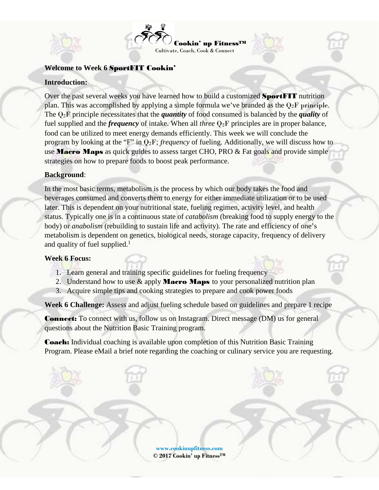

### **Welcome to Week 6** SportFIT Cookin'

### **Introduction:**

Over the past several weeks you have learned how to build a customized **SportFIT** nutrition plan. This was accomplished by applying a simple formula we've branded as the  $Q_2F$  principle. The Q2F principle necessitates that the *quantity* of food consumed is balanced by the *quality* of fuel supplied and the *frequency* of intake. When all *three* Q2F principles are in proper balance, food can be utilized to meet energy demands efficiently. This week we will conclude the program by looking at the "F" in Q2F; *frequency* of fueling. Additionally, we will discuss how to use **Macro Maps** as quick guides to assess target CHO, PRO  $\&$  Fat goals and provide simple strategies on how to prepare foods to boost peak performance.

#### **Background**:

In the most basic terms, metabolism is the process by which our body takes the food and beverages consumed and converts them to energy for either immediate utilization or to be used later. This is dependent on your nutritional state, fueling regimen, activity level, and health status. Typically one is in a continuous state of *catabolism* (breaking food to supply energy to the body) or *anabolism* (rebuilding to sustain life and activity). The rate and efficiency of one's metabolism is dependent on genetics, biological needs, storage capacity, frequency of delivery and quality of fuel supplied.<sup>1</sup>

#### **Week 6 Focus:**

- 1. Learn general and training specific guidelines for fueling frequency
- 2. Understand how to use  $\&$  apply **Macro Maps** to your personalized nutrition plan
- 3. Acquire simple tips and cooking strategies to prepare and cook power foods

**Week 6 Challenge:** Assess and adjust fueling schedule based on guidelines and prepare 1 recipe

Connect: To connect with us, follow us on [Instagram.](https://www.instagram.com/cookinupfitness/) Direct message (DM) us for general questions about the Nutrition Basic Training program.

Coach: Individual coaching is available upon completion of this Nutrition Basic Training Program. Please [eMail](mailto:info@cookinupfitness.com) a brief note regarding the coaching or culinary service you are requesting.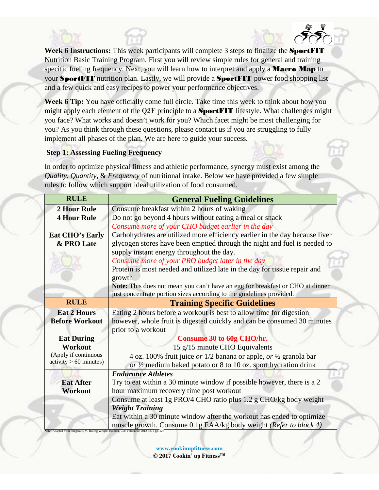**Week 6 Instructions:** This week participants will complete 3 steps to finalize the SportFIT Nutrition Basic Training Program. First you will review simple rules for general and training specific fueling frequency. Next, you will learn how to interpret and apply a **Macro Map** to your **SportFIT** nutrition plan. Lastly, we will provide a **SportFIT** power food shopping list and a few quick and easy recipes to power your performance objectives.

**Week 6 Tip:** You have officially come full circle. Take time this week to think about how you might apply each element of the Q2F principle to a SportFIT lifestyle. What challenges might you face? What works and doesn't work for you? Which facet might be most challenging for you? As you think through these questions, please contact us if you are struggling to fully implement all phases of the plan. We are here to guide your success.

### **Step 1: Assessing Fueling Frequency**

In order to optimize physical fitness and athletic performance, synergy must exist among the *Quality, Quantity,* & *Frequency* of nutritional intake. Below we have provided a few simple rules to follow which support ideal utilization of food consumed.

| <b>RULE</b>                                                                                 | <b>General Fueling Guidelines</b>                                                                                                 |  |  |  |  |
|---------------------------------------------------------------------------------------------|-----------------------------------------------------------------------------------------------------------------------------------|--|--|--|--|
| <b>2 Hour Rule</b>                                                                          | Consume breakfast within 2 hours of waking                                                                                        |  |  |  |  |
| <b>4 Hour Rule</b>                                                                          | Do not go beyond 4 hours without eating a meal or snack                                                                           |  |  |  |  |
| Eat CHO's Early                                                                             | Consume more of your CHO budget earlier in the day<br>Carbohydrates are utilized more efficiency earlier in the day because liver |  |  |  |  |
| & PRO Late                                                                                  | glycogen stores have been emptied through the night and fuel is needed to                                                         |  |  |  |  |
| supply instant energy throughout the day.                                                   |                                                                                                                                   |  |  |  |  |
|                                                                                             | Consume more of your PRO budget later in the day                                                                                  |  |  |  |  |
|                                                                                             | Protein is most needed and utilized late in the day for tissue repair and<br>growth                                               |  |  |  |  |
|                                                                                             | Note: This does not mean you can't have an egg for breakfast or CHO at dinner                                                     |  |  |  |  |
|                                                                                             | just concentrate portion sizes according to the guidelines provided.                                                              |  |  |  |  |
| <b>RULE</b>                                                                                 | <b>Training Specific Guidelines</b>                                                                                               |  |  |  |  |
| <b>Eat 2 Hours</b>                                                                          | Eating 2 hours before a workout is best to allow time for digestion                                                               |  |  |  |  |
| <b>Before Workout</b>                                                                       | however, whole fruit is digested quickly and can be consumed 30 minutes                                                           |  |  |  |  |
|                                                                                             | prior to a workout                                                                                                                |  |  |  |  |
| <b>Eat During</b>                                                                           | Consume 30 to 60g CHO/hr.                                                                                                         |  |  |  |  |
| <b>Workout</b>                                                                              | 15 g/15 minute CHO Equivalents                                                                                                    |  |  |  |  |
| (Apply if continuous                                                                        | 4 oz. 100% fruit juice or $1/2$ banana or apple, or $\frac{1}{2}$ granola bar                                                     |  |  |  |  |
| $\text{activity} > 60 \text{ minutes}$                                                      | or $\frac{1}{2}$ medium baked potato or 8 to 10 oz. sport hydration drink                                                         |  |  |  |  |
|                                                                                             | <b>Endurance Athletes</b>                                                                                                         |  |  |  |  |
| <b>Eat After</b>                                                                            | Try to eat within a 30 minute window if possible however, there is a 2                                                            |  |  |  |  |
| Workout                                                                                     | hour maximum recovery time post workout                                                                                           |  |  |  |  |
|                                                                                             | Consume at least 1g PRO/4 CHO ratio plus 1.2 g CHO/kg body weight                                                                 |  |  |  |  |
|                                                                                             | <b>Weight Training</b>                                                                                                            |  |  |  |  |
|                                                                                             | Eat within a 30 minute window after the workout has ended to optimize                                                             |  |  |  |  |
| Note: Adapted from Fitzgerald, M. Racing Weight. Boulder, CO: Velopress; 2012 Ed. 2 pp. 128 | muscle growth. Consume 0.1g EAA/kg body weight (Refer to block 4)                                                                 |  |  |  |  |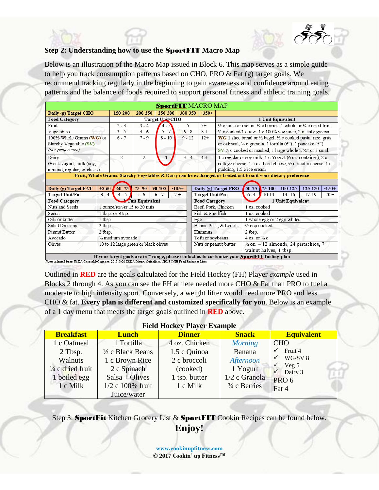### **Step 2: Understanding how to use the** SportFIT **Macro Map**

Below is an illustration of the Macro Map issued in Block 6. This map serves as a simple guide to help you track consumption patterns based on CHO, PRO & Fat (g) target goals. We recommend tracking regularly in the beginning to gain awareness and confidence around eating patterns and the balance of foods required to support personal fitness and athletic training goals.

| <b>SportFIT MACRO MAP</b>                                                                                                                                                                                       |                                      |                 |          |                 |                                                                    |                                                                                                                |                                                                                                 |           |                             |                                                  |         |
|-----------------------------------------------------------------------------------------------------------------------------------------------------------------------------------------------------------------|--------------------------------------|-----------------|----------|-----------------|--------------------------------------------------------------------|----------------------------------------------------------------------------------------------------------------|-------------------------------------------------------------------------------------------------|-----------|-----------------------------|--------------------------------------------------|---------|
| Daily (g) Target CHO                                                                                                                                                                                            | 150-200                              | 200-250         | 250-300  | 300-350         | $*350+$                                                            |                                                                                                                |                                                                                                 |           |                             |                                                  |         |
| <b>Food Category</b>                                                                                                                                                                                            | Target Unit/CHO                      |                 |          |                 |                                                                    |                                                                                                                |                                                                                                 |           | 1 Unit Equivalent           |                                                  |         |
| Fruit                                                                                                                                                                                                           | $2 - 3$                              | $3 - 4$         | $4 - 5$  | 5<br>$5+$       |                                                                    |                                                                                                                | $\frac{1}{2}$ c juice or melon, $\frac{3}{4}$ c berries, 1 whole or $\frac{1}{4}$ c dried fruit |           |                             |                                                  |         |
| Vegetables                                                                                                                                                                                                      | $3 - 5$                              | $4 - 6$         | $5 - 7$  | $6 - 8$<br>$8+$ |                                                                    |                                                                                                                | $\frac{1}{2}$ c cooked/1 c raw, 1 c 100% veg juice, 2 c leafy greens                            |           |                             |                                                  |         |
| 100% Whole Grains (WG) or                                                                                                                                                                                       | $6 - 7$                              | $7 - 9$         | $8 - 10$ | $9 - 12$        | $12+$                                                              | WG 1 slice bread or 1/2 bagel, 1/2 c cooked pasta, rice, grits                                                 |                                                                                                 |           |                             |                                                  |         |
| Starchy Vegetable (SV)                                                                                                                                                                                          |                                      |                 |          |                 |                                                                    | or oatmeal, 1/4 c granola, 1 tortilla (6"), 1 pancake (5")                                                     |                                                                                                 |           |                             |                                                  |         |
| (per preference)                                                                                                                                                                                                |                                      |                 |          |                 |                                                                    | SV 1/2 c cooked or mashed, 1 large whole 2 1/4" or 3 small                                                     |                                                                                                 |           |                             |                                                  |         |
| Dairy                                                                                                                                                                                                           | $\overline{c}$                       | $\overline{c}$  | 3        | $3 - 4$         | 1 c regular or soy milk, 1 c Yogurt (6 oz. container), 2 c<br>$4+$ |                                                                                                                |                                                                                                 |           |                             |                                                  |         |
| Greek yogurt, milk (soy,                                                                                                                                                                                        |                                      |                 |          |                 |                                                                    | cottage cheese, 1.5 oz. hard cheese, 1/2 c ricotta cheese, 1 c                                                 |                                                                                                 |           |                             |                                                  |         |
| almond, regular) & cheese                                                                                                                                                                                       |                                      |                 |          |                 |                                                                    | pudding, 1.5 c ice cream                                                                                       |                                                                                                 |           |                             |                                                  |         |
|                                                                                                                                                                                                                 |                                      |                 |          |                 |                                                                    | Fruit, Whole Grains, Starchy Vegetables & Dairy can be exchanged or traded out to suit your dietary preference |                                                                                                 |           |                             |                                                  |         |
|                                                                                                                                                                                                                 |                                      |                 |          |                 |                                                                    |                                                                                                                |                                                                                                 |           |                             |                                                  |         |
| Daily (g) Target FAT                                                                                                                                                                                            | $60 - 75$<br>$45 - 60$               | $75 - 90$       | 90-105   | $*105+$         |                                                                    | Daily (g) Target PRO                                                                                           | 50-75                                                                                           | 75-100    | 100-125                     | 125-150                                          | $*150+$ |
| <b>Target Unit/Fat</b>                                                                                                                                                                                          | $3 - 4$<br>$4 - 5$                   | $5 - 6$         | $6 - 7$  | $7 +$           | <b>Target Unit/Pro</b>                                             |                                                                                                                | $6 - 9$                                                                                         | $10 - 13$ | $14 - 16$                   | $17 - 19$                                        | $20 +$  |
| <b>Food Category</b>                                                                                                                                                                                            |                                      | Unit Equivalent |          |                 | Food Category                                                      |                                                                                                                |                                                                                                 |           | 1 Unit Equivalent           |                                                  |         |
| Nuts and Seeds                                                                                                                                                                                                  | 1 ounce/varies 15 to 20 nuts         |                 |          |                 |                                                                    | Beef, Pork, Chicken                                                                                            | 1 oz. cooked                                                                                    |           |                             |                                                  |         |
| Seeds                                                                                                                                                                                                           | 1 tbsp. or 3 tsp.                    |                 |          |                 | Fish & Shellfish                                                   |                                                                                                                | 1 oz. cooked                                                                                    |           |                             |                                                  |         |
| Oils or butter                                                                                                                                                                                                  | 1 tbsp.                              |                 |          |                 | Egg                                                                |                                                                                                                |                                                                                                 |           | 1 whole egg or 2 egg whites |                                                  |         |
| Salad Dressing                                                                                                                                                                                                  | 2 tbsp.                              |                 |          |                 |                                                                    | Beans, Peas, & Lentils                                                                                         | 1/2 cup cooked                                                                                  |           |                             |                                                  |         |
| <b>Peanut Butter</b>                                                                                                                                                                                            | 2 tbsp.                              |                 |          |                 | Hummus                                                             |                                                                                                                | 2 tbsp.                                                                                         |           |                             |                                                  |         |
| Avocado                                                                                                                                                                                                         | 1/2 medium avocado                   |                 |          |                 | Tofu or soybeans                                                   |                                                                                                                | 4 oz. or $\frac{1}{2}$ c                                                                        |           |                             |                                                  |         |
| Olives                                                                                                                                                                                                          | 10 to 12 large green or black olives |                 |          |                 |                                                                    | Nuts or peanut butter                                                                                          | walnut halves, 1 tbsp.                                                                          |           |                             | $\frac{1}{2}$ oz. = 12 almonds, 24 pistachios, 7 |         |
| If your target goals are in * range, please contact us to customize your SportFIT fueling plan<br>Nate: Adapted from: USDA ChooseMyPlate org. 2015-2020 USDA Dietary Guidelines: NHLBI NJH Food Exchange Lists. |                                      |                 |          |                 |                                                                    |                                                                                                                |                                                                                                 |           |                             |                                                  |         |

Outlined in **RED** are the goals calculated for the Field Hockey (FH) Player *example* used in Blocks 2 through 4. As you can see the FH athlete needed more CHO & Fat than PRO to fuel a moderate to high intensity sport. Conversely, a weight lifter would need more PRO and less CHO & fat. **Every plan is different and customized specifically for you**. Below is an example of a 1 day menu that meets the target goals outlined in **RED** above.

#### **Field Hockey Player Example**

| <b>Breakfast</b>            | <b>Lunch</b>                | <b>Dinner</b> | <b>Snack</b>   | <b>Equivalent</b> |
|-----------------------------|-----------------------------|---------------|----------------|-------------------|
| 1 c Oatmeal                 | 1 Tortilla                  | 4 oz. Chicken | <b>Morning</b> | <b>CHO</b>        |
| 2 Tbsp.                     | $\frac{1}{2}$ c Black Beans | 1.5 c Quinoa  | Banana         | Fruit 4           |
| Walnuts                     | 1 c Brown Rice              | 2 c broccoli  | Afternoon      | WG/SV 8           |
| $\frac{1}{4}$ c dried fruit | 2 c Spinach                 | (cooked)      | 1 Yogurt       | Veg 5<br>Dairy 3  |
| 1 boiled egg                | $Salsa + Olives$            | 1 tsp. butter | 1/2 c Granola  | PRO <sub>6</sub>  |
| 1 c Milk                    | 1/2 c 100% fruit            | 1 c Milk      | 3/4 c Berries  | Fat 4             |
|                             | Juice/water                 |               |                |                   |

Step 3: SportFit Kitchen Grocery List & SportFIT Cookin Recipes can be found below. **Enjoy!**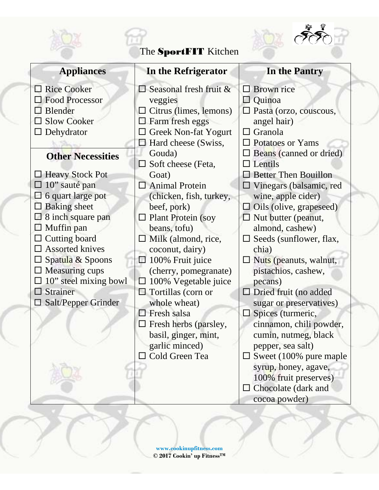|                                                                                                                                                                                                                                                                                                                                                                                                                                                                | The SportFIT Kitchen                                                                                                                                                                                                                                                                                                                                                                                                                                                                                                                                                                                         |                                                                                                                                                                                                                                                                                                                                                                                                                                                                                                                                                                                                                                                                                                 |
|----------------------------------------------------------------------------------------------------------------------------------------------------------------------------------------------------------------------------------------------------------------------------------------------------------------------------------------------------------------------------------------------------------------------------------------------------------------|--------------------------------------------------------------------------------------------------------------------------------------------------------------------------------------------------------------------------------------------------------------------------------------------------------------------------------------------------------------------------------------------------------------------------------------------------------------------------------------------------------------------------------------------------------------------------------------------------------------|-------------------------------------------------------------------------------------------------------------------------------------------------------------------------------------------------------------------------------------------------------------------------------------------------------------------------------------------------------------------------------------------------------------------------------------------------------------------------------------------------------------------------------------------------------------------------------------------------------------------------------------------------------------------------------------------------|
| <b>Appliances</b>                                                                                                                                                                                                                                                                                                                                                                                                                                              | In the Refrigerator                                                                                                                                                                                                                                                                                                                                                                                                                                                                                                                                                                                          | In the Pantry                                                                                                                                                                                                                                                                                                                                                                                                                                                                                                                                                                                                                                                                                   |
| <b>Rice Cooker</b><br>$\mathcal{L}_{\mathcal{A}}$<br><b>Food Processor</b><br>Blender<br><b>Slow Cooker</b><br>Dehydrator<br><b>Other Necessities</b><br><b>Heavy Stock Pot</b><br><b>September</b><br>10" sauté pan<br>6 quart large pot<br><b>Baking</b> sheet<br>8 inch square pan<br>Muffin pan<br><b>Cutting board</b><br><b>Assorted knives</b><br>Spatula & Spoons<br><b>Measuring cups</b><br>10" steel mixing bowl<br>Strainer<br>Salt/Pepper Grinder | $\square$ Seasonal fresh fruit $\&$<br>veggies<br>Citrus (limes, lemons)<br>$\Box$ Farm fresh eggs<br><b>Greek Non-fat Yogurt</b><br>Hard cheese (Swiss,<br>Gouda)<br>Soft cheese (Feta,<br>$\Box$<br>Goat)<br><b>Animal Protein</b><br>(chicken, fish, turkey,<br>beef, pork)<br>$\Box$ Plant Protein (soy<br>beans, tofu)<br>Milk (almond, rice,<br>coconut, dairy)<br>100% Fruit juice<br>$\mathcal{L}$<br>(cherry, pomegranate)<br>100% Vegetable juice<br>$\Box$ Tortillas (corn or<br>whole wheat)<br>Fresh salsa<br>Fresh herbs (parsley,<br>basil, ginger, mint,<br>garlic minced)<br>Cold Green Tea | <b>Brown rice</b><br>$\Box$ Quinoa<br>$\square$ Pasta (orzo, couscous,<br>angel hair)<br>$\Box$ Granola<br>$\Box$ Potatoes or Yams<br>$\Box$ Beans (canned or dried)<br>$\Box$ Lentils<br>$\Box$ Better Then Bouillon<br>Vinegars (balsamic, red<br>wine, apple cider)<br>$\Box$ Oils (olive, grapeseed)<br>$\Box$ Nut butter (peanut,<br>almond, cashew)<br>Seeds (sunflower, flax,<br>$\Box$<br>chia)<br>Nuts (peanuts, walnut,<br>$\Box$<br>pistachios, cashew,<br>pecans)<br>$\Box$ Dried fruit (no added<br>sugar or preservatives)<br>$\Box$ Spices (turmeric,<br>cinnamon, chili powder,<br>cumin, nutmeg, black<br>pepper, sea salt)<br>Sweet (100% pure maple)<br>syrup, honey, agave, |
|                                                                                                                                                                                                                                                                                                                                                                                                                                                                |                                                                                                                                                                                                                                                                                                                                                                                                                                                                                                                                                                                                              | 100% fruit preserves)<br>$\Box$ Chocolate (dark and<br>cocoa powder)                                                                                                                                                                                                                                                                                                                                                                                                                                                                                                                                                                                                                            |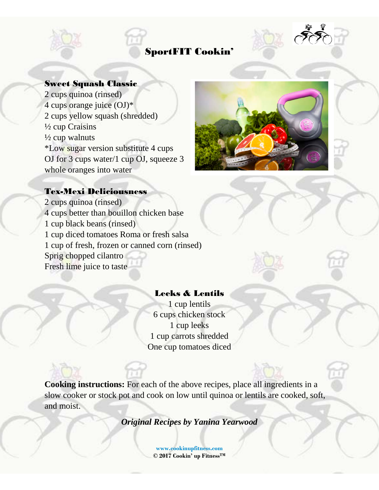# SportFIT Cookin'



## Sweet Squash Classic

2 cups quinoa (rinsed) 4 cups orange juice (OJ)\* 2 cups yellow squash (shredded) ½ cup Craisins  $\frac{1}{2}$  cup walnuts \*Low sugar version substitute 4 cups OJ for 3 cups water/1 cup OJ, squeeze 3 whole oranges into water



## Tex-Mexi Deliciousness

2 cups quinoa (rinsed) 4 cups better than bouillon chicken base 1 cup black beans (rinsed) 1 cup diced tomatoes Roma or fresh salsa 1 cup of fresh, frozen or canned corn (rinsed) Sprig chopped cilantro Fresh lime juice to taste

## Leeks & Lentils

1 cup lentils 6 cups chicken stock 1 cup leeks 1 cup carrots shredded One cup tomatoes diced

**Cooking instructions:** For each of the above recipes, place all ingredients in a slow cooker or stock pot and cook on low until quinoa or lentils are cooked, soft, and moist.

*Original Recipes by Yanina Yearwood*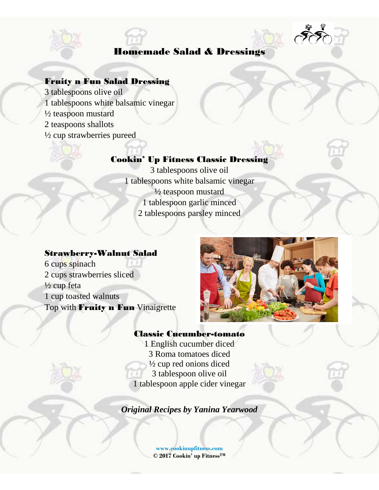# Homemade Salad & Dressings



## Fruity n Fun Salad Dressing

3 tablespoons olive oil 1 tablespoons white balsamic vinegar ½ teaspoon mustard 2 teaspoons shallots ½ cup strawberries pureed

## Cookin' Up Fitness Classic Dressing

3 tablespoons olive oil 1 tablespoons white balsamic vinegar <sup>1</sup>/<sub>2</sub> teaspoon mustard 1 tablespoon garlic minced 2 tablespoons parsley minced

### Strawberry-Walnut Salad

6 cups spinach 2 cups strawberries sliced  $\frac{1}{2}$  cup feta 1 cup toasted walnuts Top with **Fruity n Fun** Vinaigrette



## Classic Cucumber-tomato

1 English cucumber diced 3 Roma tomatoes diced ½ cup red onions diced 3 tablespoon olive oil 1 tablespoon apple cider vinegar

*Original Recipes by Yanina Yearwood*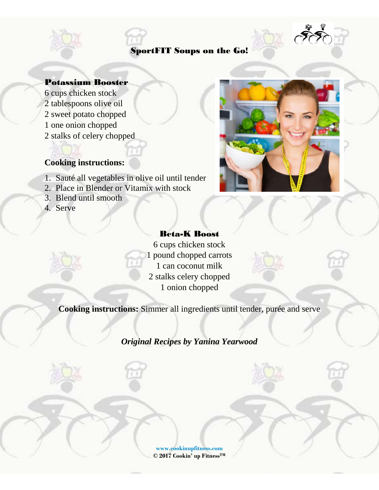## SportFIT Soups on the Go!



## Potassium Booster

- 6 cups chicken stock
- 2 tablespoons olive oil
- 2 sweet potato chopped
- 1 one onion chopped
- 2 stalks of celery chopped

### **Cooking instructions:**

- 1. Sauté all vegetables in olive oil until tender
- 2. Place in Blender or Vitamix with stock
- 3. Blend until smooth
- 4. Serve



## Beta-K Boost

6 cups chicken stock 1 pound chopped carrots 1 can coconut milk 2 stalks celery chopped 1 onion chopped

**Cooking instructions:** Simmer all ingredients until tender, purée and serve

*Original Recipes by Yanina Yearwood*